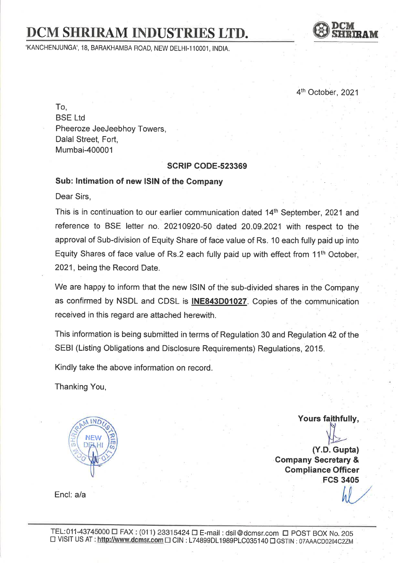# DCM SHRIRAM INDUSTRIES LTD.

'KANCHENJUNGA', 18, BARAKHAMBA ROAD, NEW DELHI-110001, INDIA.



4<sup>th</sup> October, 2021

To, BSE Ltd Pheeroze JeeJeebhoy Towers, Dalal Street, Fort, Mumbai-400001

#### **SCRIP CODE-523369**

### Sub: lntimation of new lSlN of the Company

Dear Sirs,

This is in continuation to our earlier communication dated 14<sup>th</sup> September, 2021 and reference to BSE letter no. 20210920-50 dated 20.09.2021 with respect to the approval of Sub-division of Equity Share of face value of Rs. 10 each fully paid up into Equity Shares of face value of Rs.2 each fully paid up with effect from  $11<sup>th</sup>$  October, 2021, being the Record Date.

We are happy to inform that the new lSlN of the sub-divided shares in the Company as confirmed by NSDL and CDSL is INE843D01027. Copies of the communication received in this regard are attached herewith.

This information is being submitted in terms of Regulation 30 and Regulation 42 of lhe SEBI (Listing Obligations and Disclosure Requirements) Regulations, 2015.

Kindly take the above information on record

Thanking You,

NEW D

Yours faithfu lly' L

(Y.D.Gupta) Company Secretary & Compliance Officer FCS 3405

Encl: a/a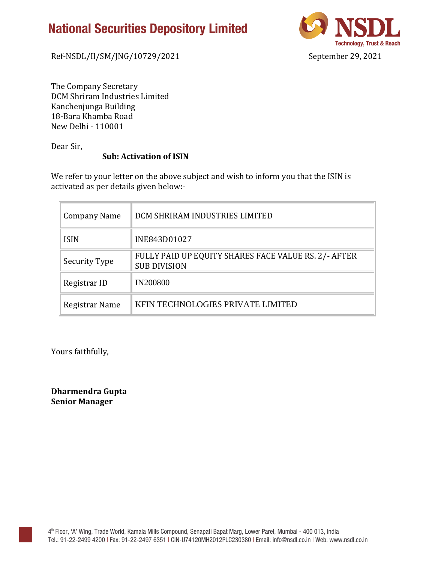# **National Securities Depository Limited**



Ref-NSDL/II/SM/JNG/10729/2021 September 29, 2021

The Company Secretary DCM Shriram Industries Limited Kanchenjunga Building 18-Bara Khamba Road New Delhi - 110001

Dear Sir,

### **Sub: Activation of ISIN**

We refer to your letter on the above subject and wish to inform you that the ISIN is activated as per details given below:-

| <b>Company Name</b> | DCM SHRIRAM INDUSTRIES LIMITED                                              |
|---------------------|-----------------------------------------------------------------------------|
| <b>ISIN</b>         | INE843D01027                                                                |
| Security Type       | FULLY PAID UP EQUITY SHARES FACE VALUE RS. 2/- AFTER<br><b>SUB DIVISION</b> |
| Registrar ID        | <b>IN200800</b>                                                             |
| Registrar Name      | KFIN TECHNOLOGIES PRIVATE LIMITED                                           |

Yours faithfully,

**Dharmendra Gupta Senior Manager**